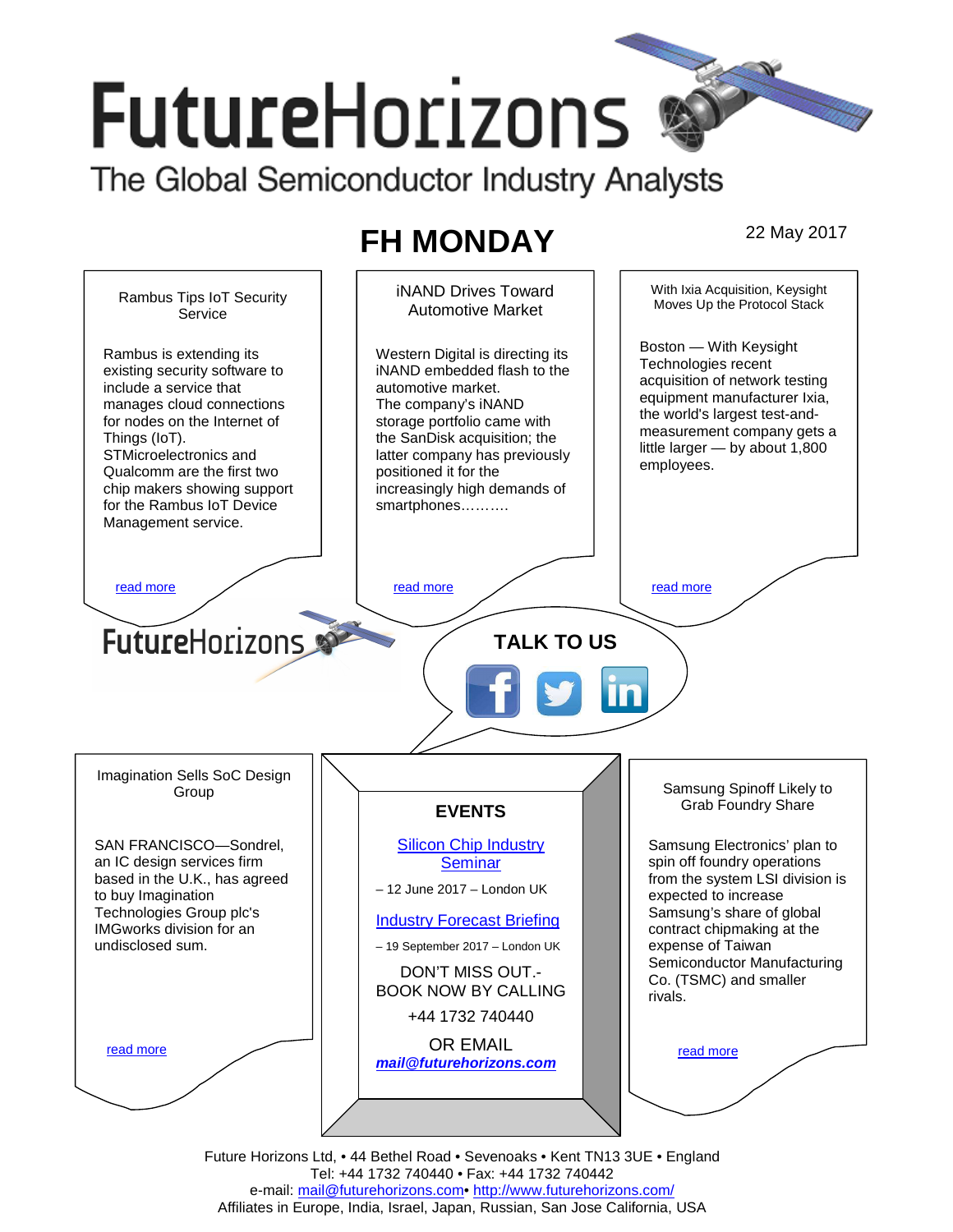# **FutureHorizons**

The Global Semiconductor Industry Analysts

# **FH MONDAY** 22 May 2017



Future Horizons Ltd, • 44 Bethel Road • Sevenoaks • Kent TN13 3UE • England Tel: +44 1732 740440 • Fax: +44 1732 740442 e-mail: mail@futurehorizons.com• http://www.futurehorizons.com/ Affiliates in Europe, India, Israel, Japan, Russian, San Jose California, USA